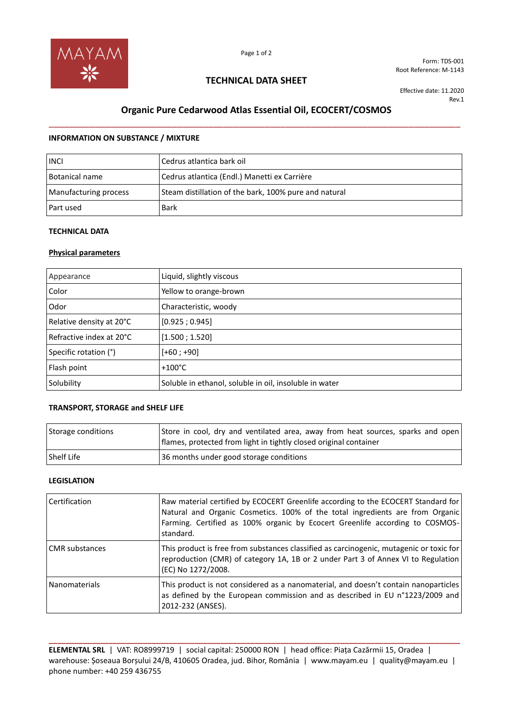

Form: TDS-001 Root Reference: M-1143

### **TECHNICAL DATA SHEET**

Effective date: 11.2020 Rev.1

# **Organic Pure Cedarwood Atlas Essential Oil, ECOCERT/COSMOS** \_\_\_\_\_\_\_\_\_\_\_\_\_\_\_\_\_\_\_\_\_\_\_\_\_\_\_\_\_\_\_\_\_\_\_\_\_\_\_\_\_\_\_\_\_\_\_\_\_\_\_\_\_\_\_\_\_\_\_\_\_\_\_\_\_\_\_\_\_\_\_\_\_\_\_\_\_\_\_\_

#### **INFORMATION ON SUBSTANCE / MIXTURE**

| <b>INCL</b>           | Cedrus atlantica bark oil                             |
|-----------------------|-------------------------------------------------------|
| Botanical name        | Cedrus atlantica (Endl.) Manetti ex Carrière          |
| Manufacturing process | Steam distillation of the bark, 100% pure and natural |
| Part used             | <b>Bark</b>                                           |

### **TECHNICAL DATA**

#### **Physical parameters**

| Appearance               | Liquid, slightly viscous                               |
|--------------------------|--------------------------------------------------------|
| Color                    | Yellow to orange-brown                                 |
| Odor                     | Characteristic, woody                                  |
| Relative density at 20°C | [0.925; 0.945]                                         |
| Refractive index at 20°C | [1.500; 1.520]                                         |
| Specific rotation (°)    | $[+60; +90]$                                           |
| Flash point              | $+100^{\circ}$ C                                       |
| Solubility               | Soluble in ethanol, soluble in oil, insoluble in water |

#### **TRANSPORT, STORAGE and SHELF LIFE**

| Storage conditions | Store in cool, dry and ventilated area, away from heat sources, sparks and open<br>flames, protected from light in tightly closed original container |
|--------------------|------------------------------------------------------------------------------------------------------------------------------------------------------|
| l Shelf Life       | 36 months under good storage conditions                                                                                                              |

#### **LEGISLATION**

| <b>Certification</b>  | Raw material certified by ECOCERT Greenlife according to the ECOCERT Standard for<br>Natural and Organic Cosmetics. 100% of the total ingredients are from Organic<br>Farming. Certified as 100% organic by Ecocert Greenlife according to COSMOS-<br>standard. |
|-----------------------|-----------------------------------------------------------------------------------------------------------------------------------------------------------------------------------------------------------------------------------------------------------------|
| <b>CMR</b> substances | This product is free from substances classified as carcinogenic, mutagenic or toxic for<br>reproduction (CMR) of category 1A, 1B or 2 under Part 3 of Annex VI to Regulation<br>(EC) No 1272/2008.                                                              |
| l Nanomaterials       | This product is not considered as a nanomaterial, and doesn't contain nanoparticles<br>as defined by the European commission and as described in EU n°1223/2009 and<br>2012-232 (ANSES).                                                                        |

**ELEMENTAL SRL** | VAT: RO8999719 | social capital: 250000 RON | head office: Piața Cazărmii 15, Oradea | warehouse: Șoseaua Borșului 24/B, 410605 Oradea, jud. Bihor, România | www.mayam.eu | quality@mayam.eu | phone number: +40 259 436755

**\_\_\_\_\_\_\_\_\_\_\_\_\_\_\_\_\_\_\_\_\_\_\_\_\_\_\_\_\_\_\_\_\_\_\_\_\_\_\_\_\_\_\_\_\_\_\_\_\_\_\_\_\_\_\_\_\_\_\_\_\_\_\_\_\_\_\_\_\_\_\_\_\_\_\_\_\_\_\_\_\_\_\_\_\_\_\_\_\_\_\_\_\_\_\_\_**